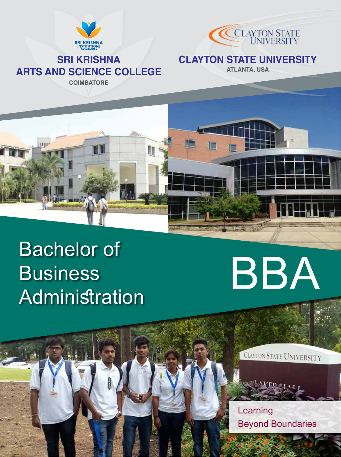



# **SRI KRISHNA ARTS AND SCIENCE COLLEGE**

**COIMBATORE**

m

### **CLAYTON STATE UNIVERSITY**

**ATLANTA, USA**

# Bachelor of **Business** Business<br>
Administration<br>
Administration



CLAYTON STATE UNIVERSITY



Learning Beyond Boundaries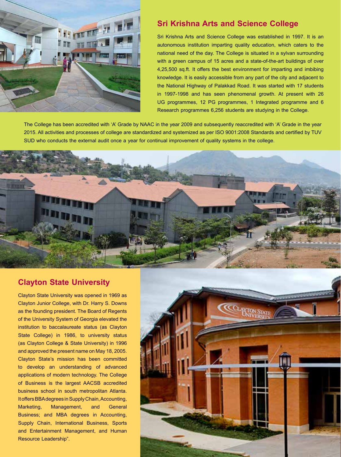

#### **Sri Krishna Arts and Science College**

Sri Krishna Arts and Science College was established in 1997. It is an autonomous institution imparting quality education, which caters to the national need of the day. The College is situated in a sylvan surrounding with a green campus of 15 acres and a state-of-the-art buildings of over 4,25,500 sq.ft. It offers the best environment for imparting and imbibing knowledge. It is easily accessible from any part of the city and adjacent to the National Highway of Palakkad Road. It was started with 17 students in 1997-1998 and has seen phenomenal growth. At present with 26 UG programmes, 12 PG programmes, 1 Integrated programme and 6 Research programmes 6,256 students are studying in the College.

The College has been accredited with 'A' Grade by NAAC in the year 2009 and subsequently reaccredited with 'A' Grade in the year 2015. All activities and processes of college are standardized and systemized as per ISO 9001:2008 Standards and certified by TUV SUD who conducts the external audit once a year for continual improvement of quality systems in the college.



#### **Clayton State University**

Clayton State University was opened in 1969 as Clayton Junior College, with Dr. Harry S. Downs as the founding president. The Board of Regents of the University System of Georgia elevated the institution to baccalaureate status (as Clayton State College) in 1986, to university status (as Clayton College & State University) in 1996 and approved the present name on May 18, 2005. Clayton State's mission has been committed to develop an understanding of advanced applications of modern technology. The College of Business is the largest AACSB accredited business school in south metropolitan Atlanta. It offers BBA degrees in Supply Chain, Accounting, Marketing, Management, and General Business; and MBA degrees in Accounting, Supply Chain, International Business, Sports and Entertainment Management, and Human Resource Leadership".

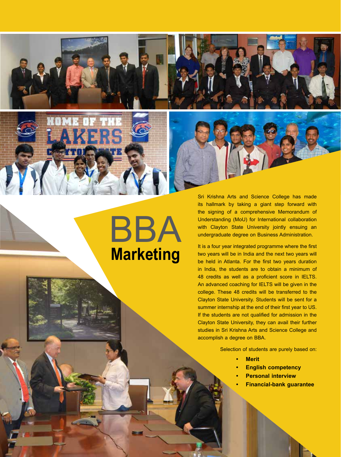

**Marketing**

BBA

Sri Krishna Arts and Science College has made its hallmark by taking a giant step forward with the signing of a comprehensive Memorandum of Understanding (MoU) for International collaboration with Clayton State University jointly ensuing an undergraduate degree on Business Administration.

It is a four year integrated programme where the first two years will be in India and the next two years will be held in Atlanta. For the first two years duration in India, the students are to obtain a minimum of 48 credits as well as a proficient score in IELTS. An advanced coaching for IELTS will be given in the college. These 48 credits will be transferred to the Clayton State University. Students will be sent for a summer internship at the end of their first year to US. If the students are not qualified for admission in the Clayton State University, they can avail their further studies in Sri Krishna Arts and Science College and accomplish a degree on BBA.

Selection of students are purely based on:

- **• Merit**
- **• English competency**
- **• Personal interview**
- **• Financial-bank guarantee**